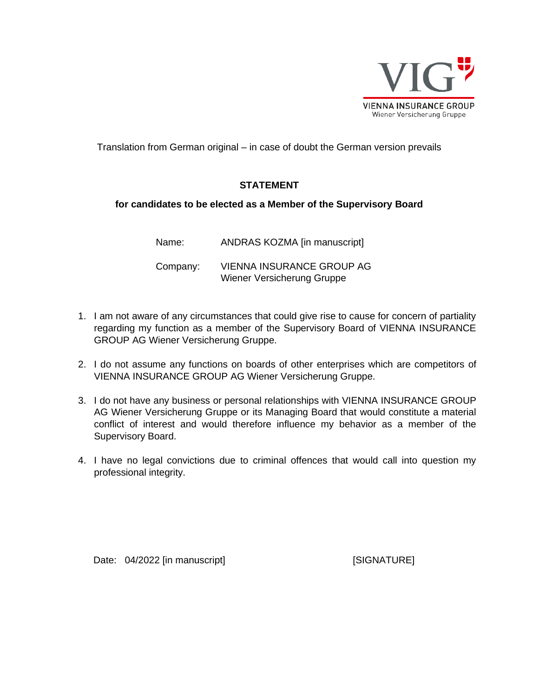

Translation from German original – in case of doubt the German version prevails

# **STATEMENT**

## **for candidates to be elected as a Member of the Supervisory Board**

Name: ANDRAS KOZMA [in manuscript] Company: VIENNA INSURANCE GROUP AG Wiener Versicherung Gruppe

- 1. I am not aware of any circumstances that could give rise to cause for concern of partiality regarding my function as a member of the Supervisory Board of VIENNA INSURANCE GROUP AG Wiener Versicherung Gruppe.
- 2. I do not assume any functions on boards of other enterprises which are competitors of VIENNA INSURANCE GROUP AG Wiener Versicherung Gruppe.
- 3. I do not have any business or personal relationships with VIENNA INSURANCE GROUP AG Wiener Versicherung Gruppe or its Managing Board that would constitute a material conflict of interest and would therefore influence my behavior as a member of the Supervisory Board.
- 4. I have no legal convictions due to criminal offences that would call into question my professional integrity.

Date: 04/2022 [in manuscript] [SIGNATURE]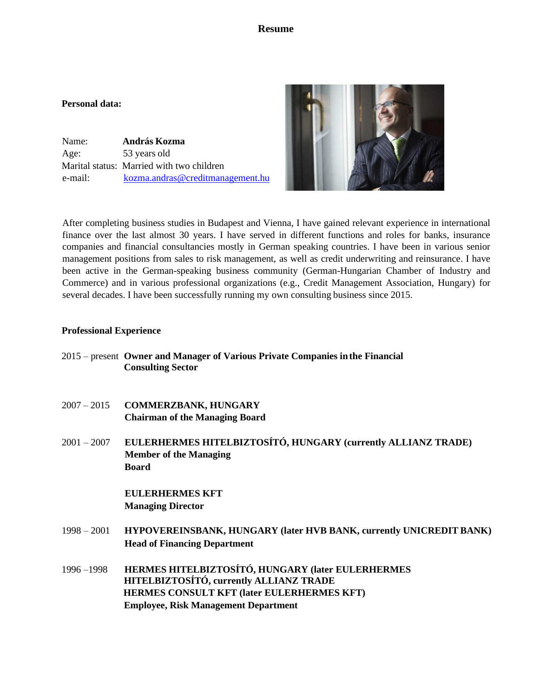### **Resume**

#### **Personal data:**

 Name: **András Kozma** Age: 53 years old Marital status: Married with two children [e-mail: kozma.andras@creditmanagement.hu](mailto:e-mail:%20%20%20%20%20%20%20%20%20%20%20%20%20%20kozma.andras@creditmanagement.hu)



After completing business studies in Budapest and Vienna, I have gained relevant experience in international finance over the last almost 30 years. I have served in different functions and roles for banks, insurance companies and financial consultancies mostly in German speaking countries. I have been in various senior management positions from sales to risk management, as well as credit underwriting and reinsurance. I have been active in the German-speaking business community (German-Hungarian Chamber of Industry and Commerce) and in various professional organizations (e.g., Credit Management Association, Hungary) for several decades. I have been successfully running my own consulting business since 2015.

#### **Professional Experience**

- 2015 present **Owner and Manager of Various Private Companies inthe Financial Consulting Sector**
- 2007 2015 **COMMERZBANK, HUNGARY Chairman of the Managing Board**
- 2001 2007 **EULERHERMES HITELBIZTOSÍTÓ, HUNGARY (currently ALLIANZ TRADE) Member of the Managing Board**

**EULERHERMES KFT Managing Director**

- 1998 2001 **HYPOVEREINSBANK, HUNGARY (later HVB BANK, currently UNICREDIT BANK) Head of Financing Department**
- 1996 –1998 **HERMES HITELBIZTOSÍTÓ, HUNGARY (later EULERHERMES HITELBIZTOSÍTÓ, currently ALLIANZ TRADE HERMES CONSULT KFT (later EULERHERMES KFT) Employee, Risk Management Department**